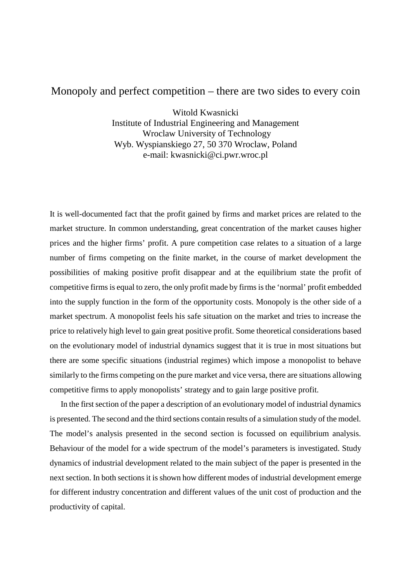# Monopoly and perfect competition – there are two sides to every coin

Witold Kwasnicki Institute of Industrial Engineering and Management Wroclaw University of Technology Wyb. Wyspianskiego 27, 50 370 Wroclaw, Poland e-mail: kwasnicki@ci.pwr.wroc.pl

It is well-documented fact that the profit gained by firms and market prices are related to the market structure. In common understanding, great concentration of the market causes higher prices and the higher firms' profit. A pure competition case relates to a situation of a large number of firms competing on the finite market, in the course of market development the possibilities of making positive profit disappear and at the equilibrium state the profit of competitive firms is equal to zero, the only profit made by firms is the 'normal' profit embedded into the supply function in the form of the opportunity costs. Monopoly is the other side of a market spectrum. A monopolist feels his safe situation on the market and tries to increase the price to relatively high level to gain great positive profit. Some theoretical considerations based on the evolutionary model of industrial dynamics suggest that it is true in most situations but there are some specific situations (industrial regimes) which impose a monopolist to behave similarly to the firms competing on the pure market and vice versa, there are situations allowing competitive firms to apply monopolists' strategy and to gain large positive profit.

In the first section of the paper a description of an evolutionary model of industrial dynamics is presented. The second and the third sections contain results of a simulation study of the model. The model's analysis presented in the second section is focussed on equilibrium analysis. Behaviour of the model for a wide spectrum of the model's parameters is investigated. Study dynamics of industrial development related to the main subject of the paper is presented in the next section. In both sections it is shown how different modes of industrial development emerge for different industry concentration and different values of the unit cost of production and the productivity of capital.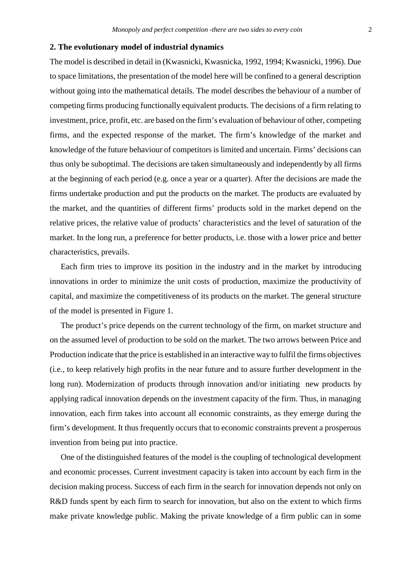### **2. The evolutionary model of industrial dynamics**

The model is described in detail in (Kwasnicki, Kwasnicka, 1992, 1994; Kwasnicki, 1996). Due to space limitations, the presentation of the model here will be confined to a general description without going into the mathematical details. The model describes the behaviour of a number of competing firms producing functionally equivalent products. The decisions of a firm relating to investment, price, profit, etc. are based on the firm's evaluation of behaviour of other, competing firms, and the expected response of the market. The firm's knowledge of the market and knowledge of the future behaviour of competitors is limited and uncertain. Firms' decisions can thus only be suboptimal. The decisions are taken simultaneously and independently by all firms at the beginning of each period (e.g. once a year or a quarter). After the decisions are made the firms undertake production and put the products on the market. The products are evaluated by the market, and the quantities of different firms' products sold in the market depend on the relative prices, the relative value of products' characteristics and the level of saturation of the market. In the long run, a preference for better products, i.e. those with a lower price and better characteristics, prevails.

Each firm tries to improve its position in the industry and in the market by introducing innovations in order to minimize the unit costs of production, maximize the productivity of capital, and maximize the competitiveness of its products on the market. The general structure of the model is presented in Figure 1.

The product's price depends on the current technology of the firm, on market structure and on the assumed level of production to be sold on the market. The two arrows between Price and Production indicate that the price is established in an interactive way to fulfil the firms objectives (i.e., to keep relatively high profits in the near future and to assure further development in the long run). Modernization of products through innovation and/or initiating new products by applying radical innovation depends on the investment capacity of the firm. Thus, in managing innovation, each firm takes into account all economic constraints, as they emerge during the firm's development. It thus frequently occurs that to economic constraints prevent a prosperous invention from being put into practice.

One of the distinguished features of the model is the coupling of technological development and economic processes. Current investment capacity is taken into account by each firm in the decision making process. Success of each firm in the search for innovation depends not only on R&D funds spent by each firm to search for innovation, but also on the extent to which firms make private knowledge public. Making the private knowledge of a firm public can in some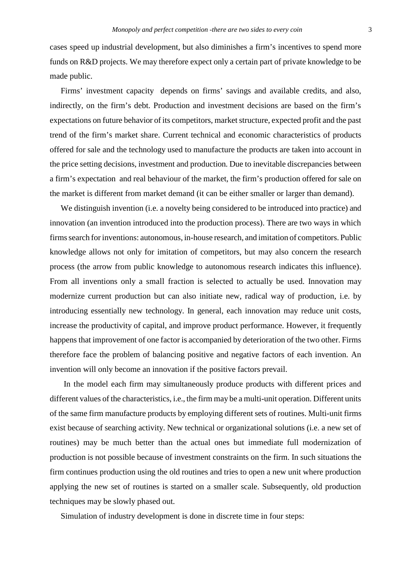cases speed up industrial development, but also diminishes a firm's incentives to spend more funds on R&D projects. We may therefore expect only a certain part of private knowledge to be made public.

Firms' investment capacity depends on firms' savings and available credits, and also, indirectly, on the firm's debt. Production and investment decisions are based on the firm's expectations on future behavior of its competitors, market structure, expected profit and the past trend of the firm's market share. Current technical and economic characteristics of products offered for sale and the technology used to manufacture the products are taken into account in the price setting decisions, investment and production. Due to inevitable discrepancies between a firm's expectation and real behaviour of the market, the firm's production offered for sale on the market is different from market demand (it can be either smaller or larger than demand).

We distinguish invention (i.e. a novelty being considered to be introduced into practice) and innovation (an invention introduced into the production process). There are two ways in which firms search for inventions: autonomous, in-house research, and imitation of competitors. Public knowledge allows not only for imitation of competitors, but may also concern the research process (the arrow from public knowledge to autonomous research indicates this influence). From all inventions only a small fraction is selected to actually be used. Innovation may modernize current production but can also initiate new, radical way of production, i.e. by introducing essentially new technology. In general, each innovation may reduce unit costs, increase the productivity of capital, and improve product performance. However, it frequently happens that improvement of one factor is accompanied by deterioration of the two other. Firms therefore face the problem of balancing positive and negative factors of each invention. An invention will only become an innovation if the positive factors prevail.

 In the model each firm may simultaneously produce products with different prices and different values of the characteristics, i.e., the firm may be a multi-unit operation. Different units of the same firm manufacture products by employing different sets of routines. Multi-unit firms exist because of searching activity. New technical or organizational solutions (i.e. a new set of routines) may be much better than the actual ones but immediate full modernization of production is not possible because of investment constraints on the firm. In such situations the firm continues production using the old routines and tries to open a new unit where production applying the new set of routines is started on a smaller scale. Subsequently, old production techniques may be slowly phased out.

Simulation of industry development is done in discrete time in four steps: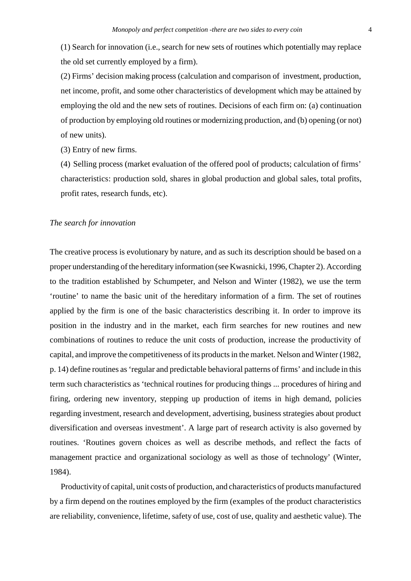(1) Search for innovation (i.e., search for new sets of routines which potentially may replace the old set currently employed by a firm).

(2) Firms' decision making process (calculation and comparison of investment, production, net income, profit, and some other characteristics of development which may be attained by employing the old and the new sets of routines. Decisions of each firm on: (a) continuation of production by employing old routines or modernizing production, and (b) opening (or not) of new units).

(3) Entry of new firms.

(4) Selling process (market evaluation of the offered pool of products; calculation of firms' characteristics: production sold, shares in global production and global sales, total profits, profit rates, research funds, etc).

# *The search for innovation*

The creative process is evolutionary by nature, and as such its description should be based on a proper understanding of the hereditary information (see Kwasnicki, 1996, Chapter 2). According to the tradition established by Schumpeter, and Nelson and Winter (1982), we use the term 'routine' to name the basic unit of the hereditary information of a firm. The set of routines applied by the firm is one of the basic characteristics describing it. In order to improve its position in the industry and in the market, each firm searches for new routines and new combinations of routines to reduce the unit costs of production, increase the productivity of capital, and improve the competitiveness of its products in the market. Nelson and Winter (1982, p. 14) define routines as 'regular and predictable behavioral patterns of firms' and include in this term such characteristics as 'technical routines for producing things ... procedures of hiring and firing, ordering new inventory, stepping up production of items in high demand, policies regarding investment, research and development, advertising, business strategies about product diversification and overseas investment'. A large part of research activity is also governed by routines. 'Routines govern choices as well as describe methods, and reflect the facts of management practice and organizational sociology as well as those of technology' (Winter, 1984).

Productivity of capital, unit costs of production, and characteristics of products manufactured by a firm depend on the routines employed by the firm (examples of the product characteristics are reliability, convenience, lifetime, safety of use, cost of use, quality and aesthetic value). The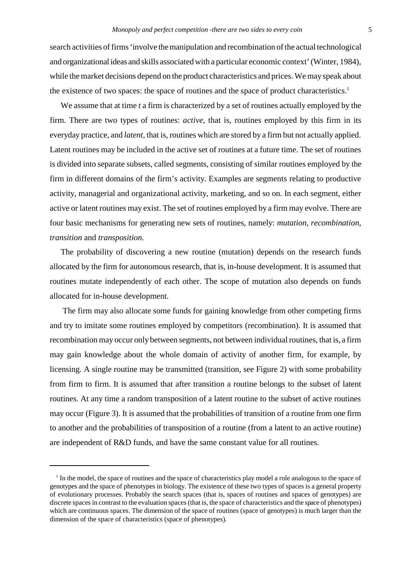search activities of firms 'involve the manipulation and recombination of the actual technological and organizational ideas and skills associated with a particular economic context' (Winter, 1984), while the market decisions depend on the product characteristics and prices. We may speak about the existence of two spaces: the space of routines and the space of product characteristics.<sup>1</sup>

We assume that at time *t* a firm is characterized by a set of routines actually employed by the firm. There are two types of routines: *active*, that is, routines employed by this firm in its everyday practice, and *latent*, that is, routines which are stored by a firm but not actually applied. Latent routines may be included in the active set of routines at a future time. The set of routines is divided into separate subsets, called segments, consisting of similar routines employed by the firm in different domains of the firm's activity. Examples are segments relating to productive activity, managerial and organizational activity, marketing, and so on. In each segment, either active or latent routines may exist. The set of routines employed by a firm may evolve. There are four basic mechanisms for generating new sets of routines, namely: *mutation*, *recombination*, *transition* and *transposition.*

The probability of discovering a new routine (mutation) depends on the research funds allocated by the firm for autonomous research, that is, in-house development. It is assumed that routines mutate independently of each other. The scope of mutation also depends on funds allocated for in-house development.

 The firm may also allocate some funds for gaining knowledge from other competing firms and try to imitate some routines employed by competitors (recombination). It is assumed that recombination may occur only between segments, not between individual routines, that is, a firm may gain knowledge about the whole domain of activity of another firm, for example, by licensing. A single routine may be transmitted (transition, see Figure 2) with some probability from firm to firm. It is assumed that after transition a routine belongs to the subset of latent routines. At any time a random transposition of a latent routine to the subset of active routines may occur (Figure 3). It is assumed that the probabilities of transition of a routine from one firm to another and the probabilities of transposition of a routine (from a latent to an active routine) are independent of R&D funds, and have the same constant value for all routines.

<sup>&</sup>lt;sup>1</sup> In the model, the space of routines and the space of characteristics play model a role analogous to the space of genotypes and the space of phenotypes in biology. The existence of these two types of spaces is a general property of evolutionary processes. Probably the search spaces (that is, spaces of routines and spaces of genotypes) are discrete spaces in contrast to the evaluation spaces (that is, the space of characteristics and the space of phenotypes) which are continuous spaces. The dimension of the space of routines (space of genotypes) is much larger than the dimension of the space of characteristics (space of phenotypes).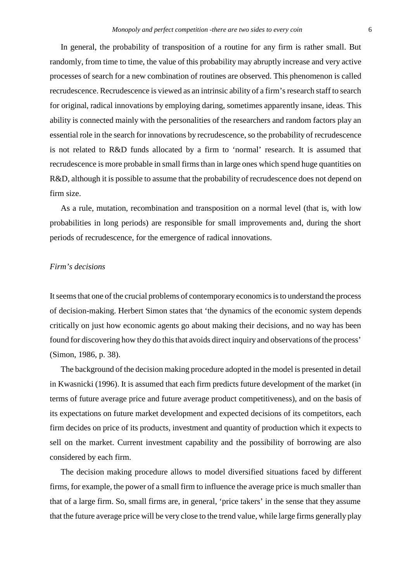In general, the probability of transposition of a routine for any firm is rather small. But randomly, from time to time, the value of this probability may abruptly increase and very active processes of search for a new combination of routines are observed. This phenomenon is called recrudescence. Recrudescence is viewed as an intrinsic ability of a firm's research staff to search for original, radical innovations by employing daring, sometimes apparently insane, ideas. This ability is connected mainly with the personalities of the researchers and random factors play an essential role in the search for innovations by recrudescence, so the probability of recrudescence is not related to R&D funds allocated by a firm to 'normal' research. It is assumed that recrudescence is more probable in small firms than in large ones which spend huge quantities on R&D, although it is possible to assume that the probability of recrudescence does not depend on firm size.

As a rule, mutation, recombination and transposition on a normal level (that is, with low probabilities in long periods) are responsible for small improvements and, during the short periods of recrudescence, for the emergence of radical innovations.

#### *Firm's decisions*

It seems that one of the crucial problems of contemporary economics is to understand the process of decision-making. Herbert Simon states that 'the dynamics of the economic system depends critically on just how economic agents go about making their decisions, and no way has been found for discovering how they do this that avoids direct inquiry and observations of the process' (Simon, 1986, p. 38).

The background of the decision making procedure adopted in the model is presented in detail in Kwasnicki (1996). It is assumed that each firm predicts future development of the market (in terms of future average price and future average product competitiveness), and on the basis of its expectations on future market development and expected decisions of its competitors, each firm decides on price of its products, investment and quantity of production which it expects to sell on the market. Current investment capability and the possibility of borrowing are also considered by each firm.

The decision making procedure allows to model diversified situations faced by different firms, for example, the power of a small firm to influence the average price is much smaller than that of a large firm. So, small firms are, in general, 'price takers' in the sense that they assume that the future average price will be very close to the trend value, while large firms generally play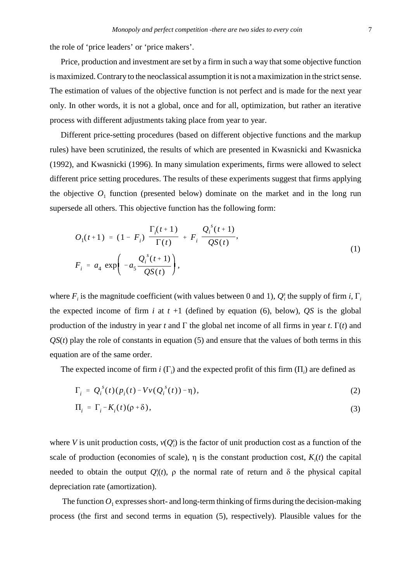the role of 'price leaders' or 'price makers'.

Price, production and investment are set by a firm in such a way that some objective function is maximized. Contrary to the neoclassical assumption it is not a maximization in the strict sense. The estimation of values of the objective function is not perfect and is made for the next year only. In other words, it is not a global, once and for all, optimization, but rather an iterative process with different adjustments taking place from year to year.

Different price-setting procedures (based on different objective functions and the markup rules) have been scrutinized, the results of which are presented in Kwasnicki and Kwasnicka (1992), and Kwasnicki (1996). In many simulation experiments, firms were allowed to select different price setting procedures. The results of these experiments suggest that firms applying the objective  $O_1$  function (presented below) dominate on the market and in the long run supersede all others. This objective function has the following form:

$$
O_{1}(t+1) = (1 - F_{i}) \frac{\Gamma_{i}(t+1)}{\Gamma(t)} + F_{i} \frac{Q_{i}^{s}(t+1)}{QS(t)},
$$
  
\n
$$
F_{i} = a_{4} \exp\left(-a_{5} \frac{Q_{i}^{s}(t+1)}{QS(t)}\right),
$$
\n(1)

where  $F_i$  is the magnitude coefficient (with values between 0 and 1),  $Q_i^s$  the supply of firm *i*,  $\Gamma_i$ the expected income of firm *i* at  $t + 1$  (defined by equation (6), below), *QS* is the global production of the industry in year *t* and  $\Gamma$  the global net income of all firms in year *t*.  $\Gamma(t)$  and *QS(t)* play the role of constants in equation (5) and ensure that the values of both terms in this equation are of the same order.

The expected income of firm *i*  $(\Gamma_i)$  and the expected profit of this firm  $(\Pi_i)$  are defined as

$$
\Gamma_i = Q_i^s(t)(p_i(t) - Vv(Q_i^s(t)) - \eta), \qquad (2)
$$

$$
\Pi_i = \Gamma_i - K_i(t)(\rho + \delta),\tag{3}
$$

where *V* is unit production costs,  $v(Q_i^s)$  is the factor of unit production cost as a function of the scale of production (economies of scale),  $\eta$  is the constant production cost,  $K_i(t)$  the capital needed to obtain the output  $Q_i^s(t)$ ,  $\rho$  the normal rate of return and  $\delta$  the physical capital depreciation rate (amortization).

The function  $O_1$  expresses short- and long-term thinking of firms during the decision-making process (the first and second terms in equation (5), respectively). Plausible values for the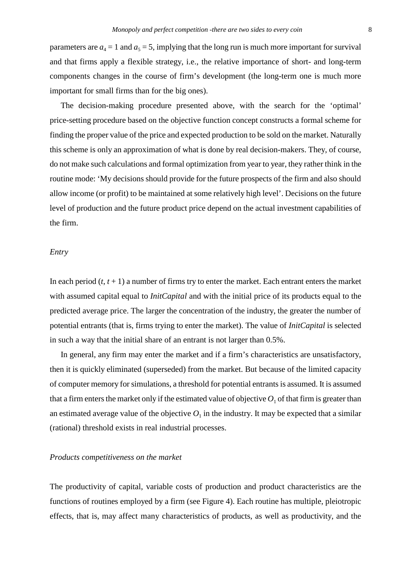parameters are  $a_4 = 1$  and  $a_5 = 5$ , implying that the long run is much more important for survival and that firms apply a flexible strategy, i.e., the relative importance of short- and long-term components changes in the course of firm's development (the long-term one is much more important for small firms than for the big ones).

The decision-making procedure presented above, with the search for the 'optimal' price-setting procedure based on the objective function concept constructs a formal scheme for finding the proper value of the price and expected production to be sold on the market. Naturally this scheme is only an approximation of what is done by real decision-makers. They, of course, do not make such calculations and formal optimization from year to year, they rather think in the routine mode: 'My decisions should provide for the future prospects of the firm and also should allow income (or profit) to be maintained at some relatively high level'. Decisions on the future level of production and the future product price depend on the actual investment capabilities of the firm.

#### *Entry*

In each period  $(t, t + 1)$  a number of firms try to enter the market. Each entrant enters the market with assumed capital equal to *InitCapital* and with the initial price of its products equal to the predicted average price. The larger the concentration of the industry, the greater the number of potential entrants (that is, firms trying to enter the market). The value of *InitCapital* is selected in such a way that the initial share of an entrant is not larger than 0.5%.

In general, any firm may enter the market and if a firm's characteristics are unsatisfactory, then it is quickly eliminated (superseded) from the market. But because of the limited capacity of computer memory for simulations, a threshold for potential entrants is assumed. It is assumed that a firm enters the market only if the estimated value of objective  $O_1$  of that firm is greater than an estimated average value of the objective  $O_1$  in the industry. It may be expected that a similar (rational) threshold exists in real industrial processes.

# *Products competitiveness on the market*

The productivity of capital, variable costs of production and product characteristics are the functions of routines employed by a firm (see Figure 4). Each routine has multiple, pleiotropic effects, that is, may affect many characteristics of products, as well as productivity, and the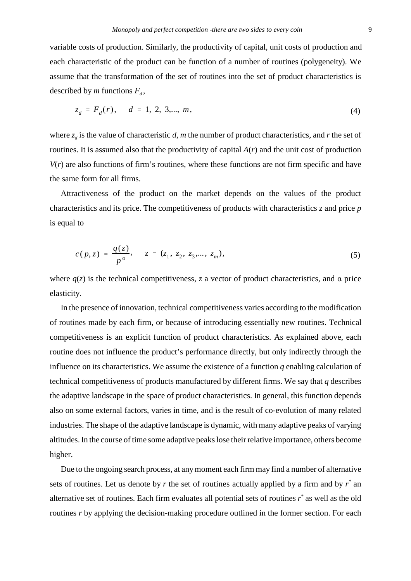variable costs of production. Similarly, the productivity of capital, unit costs of production and each characteristic of the product can be function of a number of routines (polygeneity). We assume that the transformation of the set of routines into the set of product characteristics is described by *m* functions  $F_d$ ,

$$
z_d = F_d(r), \quad d = 1, 2, 3, \dots, m,
$$
\n<sup>(4)</sup>

where  $z_d$  is the value of characteristic *d*, *m* the number of product characteristics, and *r* the set of routines. It is assumed also that the productivity of capital *A*(*r*) and the unit cost of production *V*(*r*) are also functions of firm's routines, where these functions are not firm specific and have the same form for all firms.

Attractiveness of the product on the market depends on the values of the product characteristics and its price. The competitiveness of products with characteristics *z* and price *p* is equal to

$$
c(p, z) = \frac{q(z)}{p^{\alpha}}, \quad z = (z_1, z_2, z_3, \dots, z_m), \tag{5}
$$

where  $q(z)$  is the technical competitiveness, *z* a vector of product characteristics, and  $\alpha$  price elasticity.

In the presence of innovation, technical competitiveness varies according to the modification of routines made by each firm, or because of introducing essentially new routines. Technical competitiveness is an explicit function of product characteristics. As explained above, each routine does not influence the product's performance directly, but only indirectly through the influence on its characteristics. We assume the existence of a function *q* enabling calculation of technical competitiveness of products manufactured by different firms. We say that *q* describes the adaptive landscape in the space of product characteristics. In general, this function depends also on some external factors, varies in time, and is the result of co-evolution of many related industries. The shape of the adaptive landscape is dynamic, with many adaptive peaks of varying altitudes. In the course of time some adaptive peaks lose their relative importance, others become higher.

Due to the ongoing search process, at any moment each firm may find a number of alternative sets of routines. Let us denote by *r* the set of routines actually applied by a firm and by *r \** an alternative set of routines. Each firm evaluates all potential sets of routines *r \** as well as the old routines *r* by applying the decision-making procedure outlined in the former section. For each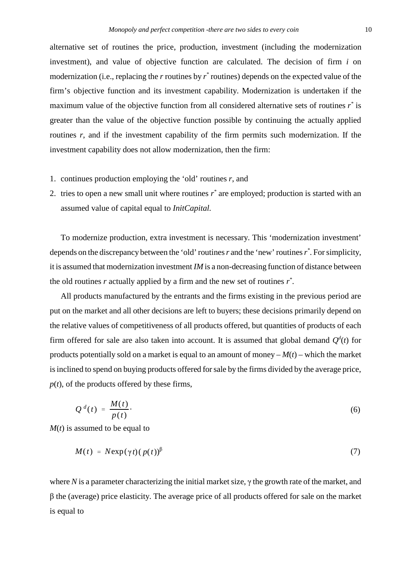alternative set of routines the price, production, investment (including the modernization investment), and value of objective function are calculated. The decision of firm *i* on modernization (i.e., replacing the *r* routines by *r \** routines) depends on the expected value of the firm's objective function and its investment capability. Modernization is undertaken if the maximum value of the objective function from all considered alternative sets of routines *r \** is greater than the value of the objective function possible by continuing the actually applied routines *r*, and if the investment capability of the firm permits such modernization. If the investment capability does not allow modernization, then the firm:

- 1. continues production employing the 'old' routines *r*, and
- 2. tries to open a new small unit where routines *r \** are employed; production is started with an assumed value of capital equal to *InitCapital.*

To modernize production, extra investment is necessary. This 'modernization investment' depends on the discrepancy between the 'old' routines *r* and the 'new' routines *r \** . For simplicity, it is assumed that modernization investment *IM* is a non-decreasing function of distance between the old routines *r* actually applied by a firm and the new set of routines *r \** .

All products manufactured by the entrants and the firms existing in the previous period are put on the market and all other decisions are left to buyers; these decisions primarily depend on the relative values of competitiveness of all products offered, but quantities of products of each firm offered for sale are also taken into account. It is assumed that global demand  $Q<sup>d</sup>(t)$  for products potentially sold on a market is equal to an amount of money – *M*(*t*) – which the market is inclined to spend on buying products offered for sale by the firms divided by the average price,  $p(t)$ , of the products offered by these firms,

$$
Q^d(t) = \frac{M(t)}{p(t)}.
$$
\n(6)

 $M(t)$  is assumed to be equal to

$$
M(t) = N \exp(\gamma t) (p(t))^{\beta} \tag{7}
$$

where  $N$  is a parameter characterizing the initial market size,  $\gamma$  the growth rate of the market, and  $\beta$  the (average) price elasticity. The average price of all products offered for sale on the market is equal to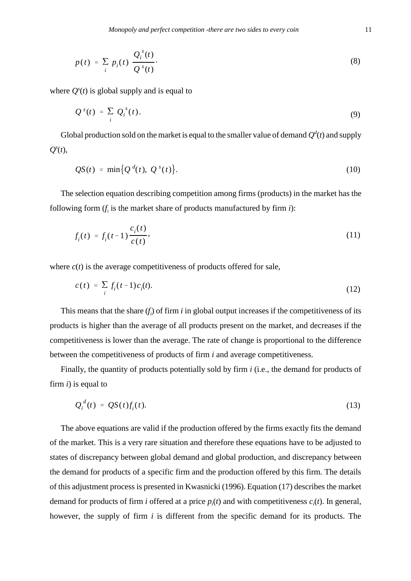$$
p(t) = \sum_{i} p_i(t) \frac{Q_i^s(t)}{Q^s(t)}.
$$
\n(8)

where  $Q^{s}(t)$  is global supply and is equal to

$$
Q^{s}(t) = \sum_{i} Q_{i}^{s}(t). \tag{9}
$$

Global production sold on the market is equal to the smaller value of demand  $Q^d(t)$  and supply  $Q^s(t)$ ,

$$
QS(t) = \min\{Q^{d}(t), Q^{s}(t)\}.
$$
\n(10)

The selection equation describing competition among firms (products) in the market has the following form  $(f_i)$  is the market share of products manufactured by firm *i*):

$$
f_i(t) = f_i(t-1)\frac{c_i(t)}{c(t)},
$$
\n(11)

where  $c(t)$  is the average competitiveness of products offered for sale,

$$
c(t) = \sum_{i} f_i(t-1)c_i(t).
$$
 (12)

This means that the share  $(f_i)$  of firm  $i$  in global output increases if the competitiveness of its products is higher than the average of all products present on the market, and decreases if the competitiveness is lower than the average. The rate of change is proportional to the difference between the competitiveness of products of firm *i* and average competitiveness.

Finally, the quantity of products potentially sold by firm *i* (i.e., the demand for products of firm *i*) is equal to

$$
Q_i^d(t) = QS(t)f_i(t). \tag{13}
$$

The above equations are valid if the production offered by the firms exactly fits the demand of the market. This is a very rare situation and therefore these equations have to be adjusted to states of discrepancy between global demand and global production, and discrepancy between the demand for products of a specific firm and the production offered by this firm. The details of this adjustment process is presented in Kwasnicki (1996). Equation (17) describes the market demand for products of firm *i* offered at a price  $p_i(t)$  and with competitiveness  $c_i(t)$ . In general, however, the supply of firm *i* is different from the specific demand for its products. The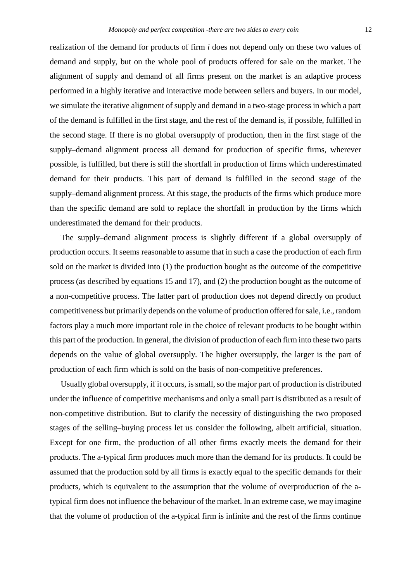realization of the demand for products of firm *i* does not depend only on these two values of demand and supply, but on the whole pool of products offered for sale on the market. The alignment of supply and demand of all firms present on the market is an adaptive process performed in a highly iterative and interactive mode between sellers and buyers. In our model, we simulate the iterative alignment of supply and demand in a two-stage process in which a part of the demand is fulfilled in the first stage, and the rest of the demand is, if possible, fulfilled in the second stage. If there is no global oversupply of production, then in the first stage of the supply–demand alignment process all demand for production of specific firms, wherever possible, is fulfilled, but there is still the shortfall in production of firms which underestimated demand for their products. This part of demand is fulfilled in the second stage of the supply–demand alignment process. At this stage, the products of the firms which produce more than the specific demand are sold to replace the shortfall in production by the firms which underestimated the demand for their products.

The supply–demand alignment process is slightly different if a global oversupply of production occurs. It seems reasonable to assume that in such a case the production of each firm sold on the market is divided into (1) the production bought as the outcome of the competitive process (as described by equations 15 and 17), and (2) the production bought as the outcome of a non-competitive process. The latter part of production does not depend directly on product competitiveness but primarily depends on the volume of production offered for sale, i.e., random factors play a much more important role in the choice of relevant products to be bought within this part of the production. In general, the division of production of each firm into these two parts depends on the value of global oversupply. The higher oversupply, the larger is the part of production of each firm which is sold on the basis of non-competitive preferences.

Usually global oversupply, if it occurs, is small, so the major part of production is distributed under the influence of competitive mechanisms and only a small part is distributed as a result of non-competitive distribution. But to clarify the necessity of distinguishing the two proposed stages of the selling–buying process let us consider the following, albeit artificial, situation. Except for one firm, the production of all other firms exactly meets the demand for their products. The a-typical firm produces much more than the demand for its products. It could be assumed that the production sold by all firms is exactly equal to the specific demands for their products, which is equivalent to the assumption that the volume of overproduction of the atypical firm does not influence the behaviour of the market. In an extreme case, we may imagine that the volume of production of the a-typical firm is infinite and the rest of the firms continue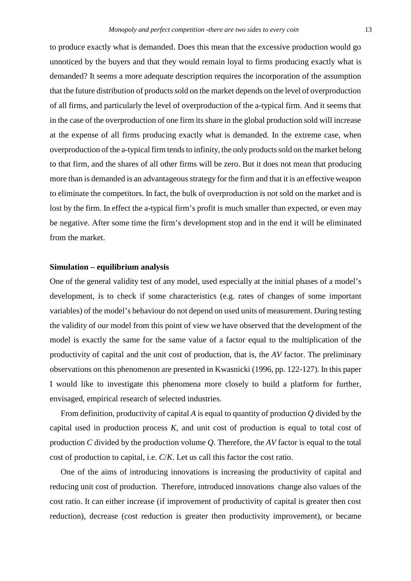to produce exactly what is demanded. Does this mean that the excessive production would go unnoticed by the buyers and that they would remain loyal to firms producing exactly what is demanded? It seems a more adequate description requires the incorporation of the assumption that the future distribution of products sold on the market depends on the level of overproduction of all firms, and particularly the level of overproduction of the a-typical firm. And it seems that in the case of the overproduction of one firm its share in the global production sold will increase at the expense of all firms producing exactly what is demanded. In the extreme case, when overproduction of the a-typical firm tends to infinity, the only products sold on the market belong to that firm, and the shares of all other firms will be zero. But it does not mean that producing more than is demanded is an advantageous strategy for the firm and that it is an effective weapon to eliminate the competitors. In fact, the bulk of overproduction is not sold on the market and is lost by the firm. In effect the a-typical firm's profit is much smaller than expected, or even may be negative. After some time the firm's development stop and in the end it will be eliminated from the market.

#### **Simulation – equilibrium analysis**

One of the general validity test of any model, used especially at the initial phases of a model's development, is to check if some characteristics (e.g. rates of changes of some important variables) of the model's behaviour do not depend on used units of measurement. During testing the validity of our model from this point of view we have observed that the development of the model is exactly the same for the same value of a factor equal to the multiplication of the productivity of capital and the unit cost of production, that is, the *AV* factor. The preliminary observations on this phenomenon are presented in Kwasnicki (1996, pp. 122-127). In this paper I would like to investigate this phenomena more closely to build a platform for further, envisaged, empirical research of selected industries.

From definition, productivity of capital *A* is equal to quantity of production *Q* divided by the capital used in production process *K*, and unit cost of production is equal to total cost of production *C* divided by the production volume *Q*. Therefore, the *AV* factor is equal to the total cost of production to capital, i.e. *C*/*K*. Let us call this factor the cost ratio.

One of the aims of introducing innovations is increasing the productivity of capital and reducing unit cost of production. Therefore, introduced innovations change also values of the cost ratio. It can either increase (if improvement of productivity of capital is greater then cost reduction), decrease (cost reduction is greater then productivity improvement), or became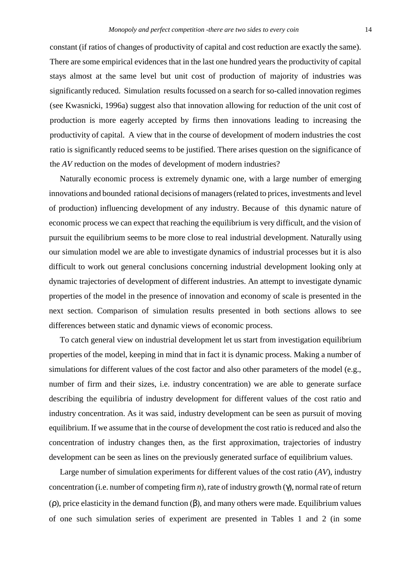constant (if ratios of changes of productivity of capital and cost reduction are exactly the same). There are some empirical evidences that in the last one hundred years the productivity of capital stays almost at the same level but unit cost of production of majority of industries was significantly reduced. Simulation results focussed on a search for so-called innovation regimes (see Kwasnicki, 1996a) suggest also that innovation allowing for reduction of the unit cost of production is more eagerly accepted by firms then innovations leading to increasing the productivity of capital. A view that in the course of development of modern industries the cost ratio is significantly reduced seems to be justified. There arises question on the significance of the *AV* reduction on the modes of development of modern industries?

Naturally economic process is extremely dynamic one, with a large number of emerging innovations and bounded rational decisions of managers (related to prices, investments and level of production) influencing development of any industry. Because of this dynamic nature of economic process we can expect that reaching the equilibrium is very difficult, and the vision of pursuit the equilibrium seems to be more close to real industrial development. Naturally using our simulation model we are able to investigate dynamics of industrial processes but it is also difficult to work out general conclusions concerning industrial development looking only at dynamic trajectories of development of different industries. An attempt to investigate dynamic properties of the model in the presence of innovation and economy of scale is presented in the next section. Comparison of simulation results presented in both sections allows to see differences between static and dynamic views of economic process.

To catch general view on industrial development let us start from investigation equilibrium properties of the model, keeping in mind that in fact it is dynamic process. Making a number of simulations for different values of the cost factor and also other parameters of the model (e.g., number of firm and their sizes, i.e. industry concentration) we are able to generate surface describing the equilibria of industry development for different values of the cost ratio and industry concentration. As it was said, industry development can be seen as pursuit of moving equilibrium. If we assume that in the course of development the cost ratio is reduced and also the concentration of industry changes then, as the first approximation, trajectories of industry development can be seen as lines on the previously generated surface of equilibrium values.

Large number of simulation experiments for different values of the cost ratio (*AV*), industry concentration (i.e. number of competing firm *n*), rate of industry growth (γ), normal rate of return (ρ), price elasticity in the demand function (β), and many others were made. Equilibrium values of one such simulation series of experiment are presented in Tables 1 and 2 (in some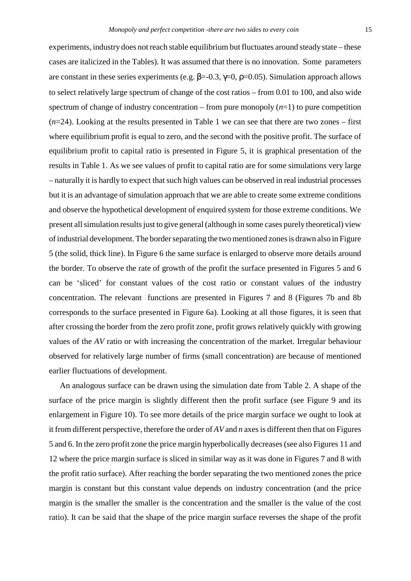experiments, industry does not reach stable equilibrium but fluctuates around steady state – these cases are italicized in the Tables). It was assumed that there is no innovation. Some parameters are constant in these series experiments (e.g.  $\beta$ =-0.3,  $\gamma$ =0,  $\rho$ =0.05). Simulation approach allows to select relatively large spectrum of change of the cost ratios – from 0.01 to 100, and also wide spectrum of change of industry concentration – from pure monopoly  $(n=1)$  to pure competition (*n*=24). Looking at the results presented in Table 1 we can see that there are two zones – first where equilibrium profit is equal to zero, and the second with the positive profit. The surface of equilibrium profit to capital ratio is presented in Figure 5, it is graphical presentation of the results in Table 1. As we see values of profit to capital ratio are for some simulations very large – naturally it is hardly to expect that such high values can be observed in real industrial processes but it is an advantage of simulation approach that we are able to create some extreme conditions and observe the hypothetical development of enquired system for those extreme conditions. We present all simulation results just to give general (although in some cases purely theoretical) view of industrial development. The border separating the two mentioned zones is drawn also in Figure 5 (the solid, thick line). In Figure 6 the same surface is enlarged to observe more details around the border. To observe the rate of growth of the profit the surface presented in Figures 5 and 6 can be 'sliced' for constant values of the cost ratio or constant values of the industry concentration. The relevant functions are presented in Figures 7 and 8 (Figures 7b and 8b corresponds to the surface presented in Figure 6a). Looking at all those figures, it is seen that after crossing the border from the zero profit zone, profit grows relatively quickly with growing values of the *AV* ratio or with increasing the concentration of the market. Irregular behaviour observed for relatively large number of firms (small concentration) are because of mentioned earlier fluctuations of development.

An analogous surface can be drawn using the simulation date from Table 2. A shape of the surface of the price margin is slightly different then the profit surface (see Figure 9 and its enlargement in Figure 10). To see more details of the price margin surface we ought to look at it from different perspective, therefore the order of *AV* and *n* axesis different then that on Figures 5 and 6. In the zero profit zone the price margin hyperbolically decreases (see also Figures 11 and 12 where the price margin surface is sliced in similar way as it was done in Figures 7 and 8 with the profit ratio surface). After reaching the border separating the two mentioned zones the price margin is constant but this constant value depends on industry concentration (and the price margin is the smaller the smaller is the concentration and the smaller is the value of the cost ratio). It can be said that the shape of the price margin surface reverses the shape of the profit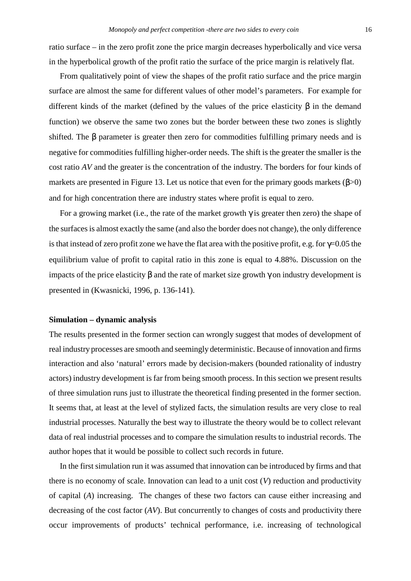ratio surface – in the zero profit zone the price margin decreases hyperbolically and vice versa in the hyperbolical growth of the profit ratio the surface of the price margin is relatively flat.

From qualitatively point of view the shapes of the profit ratio surface and the price margin surface are almost the same for different values of other model's parameters. For example for different kinds of the market (defined by the values of the price elasticity β in the demand function) we observe the same two zones but the border between these two zones is slightly shifted. The β parameter is greater then zero for commodities fulfilling primary needs and is negative for commodities fulfilling higher-order needs. The shift is the greater the smaller is the cost ratio *AV* and the greater is the concentration of the industry. The borders for four kinds of markets are presented in Figure 13. Let us notice that even for the primary goods markets ( $\beta$ >0) and for high concentration there are industry states where profit is equal to zero.

For a growing market (i.e., the rate of the market growth  $\gamma$  is greater then zero) the shape of the surfaces is almost exactly the same (and also the border does not change), the only difference is that instead of zero profit zone we have the flat area with the positive profit, e.g. for  $\gamma$ =0.05 the equilibrium value of profit to capital ratio in this zone is equal to 4.88%. Discussion on the impacts of the price elasticity  $\beta$  and the rate of market size growth  $\gamma$  on industry development is presented in (Kwasnicki, 1996, p. 136-141).

# **Simulation – dynamic analysis**

The results presented in the former section can wrongly suggest that modes of development of real industry processes are smooth and seemingly deterministic. Because of innovation and firms interaction and also 'natural' errors made by decision-makers (bounded rationality of industry actors) industry development is far from being smooth process. In this section we present results of three simulation runs just to illustrate the theoretical finding presented in the former section. It seems that, at least at the level of stylized facts, the simulation results are very close to real industrial processes. Naturally the best way to illustrate the theory would be to collect relevant data of real industrial processes and to compare the simulation results to industrial records. The author hopes that it would be possible to collect such records in future.

In the first simulation run it was assumed that innovation can be introduced by firms and that there is no economy of scale. Innovation can lead to a unit cost (*V*) reduction and productivity of capital (*A*) increasing. The changes of these two factors can cause either increasing and decreasing of the cost factor (*AV*). But concurrently to changes of costs and productivity there occur improvements of products' technical performance, i.e. increasing of technological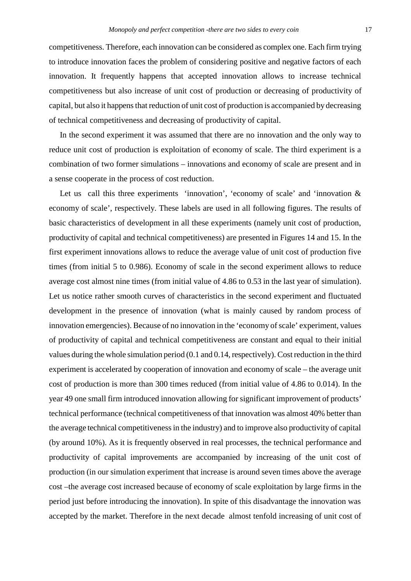competitiveness. Therefore, each innovation can be considered as complex one. Each firm trying to introduce innovation faces the problem of considering positive and negative factors of each innovation. It frequently happens that accepted innovation allows to increase technical competitiveness but also increase of unit cost of production or decreasing of productivity of capital, but also it happens that reduction of unit cost of production is accompanied by decreasing of technical competitiveness and decreasing of productivity of capital.

In the second experiment it was assumed that there are no innovation and the only way to reduce unit cost of production is exploitation of economy of scale. The third experiment is a combination of two former simulations – innovations and economy of scale are present and in a sense cooperate in the process of cost reduction.

Let us call this three experiments 'innovation', 'economy of scale' and 'innovation  $\&$ economy of scale', respectively. These labels are used in all following figures. The results of basic characteristics of development in all these experiments (namely unit cost of production, productivity of capital and technical competitiveness) are presented in Figures 14 and 15. In the first experiment innovations allows to reduce the average value of unit cost of production five times (from initial 5 to 0.986). Economy of scale in the second experiment allows to reduce average cost almost nine times (from initial value of 4.86 to 0.53 in the last year of simulation). Let us notice rather smooth curves of characteristics in the second experiment and fluctuated development in the presence of innovation (what is mainly caused by random process of innovation emergencies). Because of no innovation in the 'economy of scale' experiment, values of productivity of capital and technical competitiveness are constant and equal to their initial values during the whole simulation period (0.1 and 0.14, respectively). Cost reduction in the third experiment is accelerated by cooperation of innovation and economy of scale – the average unit cost of production is more than 300 times reduced (from initial value of 4.86 to 0.014). In the year 49 one small firm introduced innovation allowing for significant improvement of products' technical performance (technical competitiveness of that innovation was almost 40% better than the average technical competitiveness in the industry) and to improve also productivity of capital (by around 10%). As it is frequently observed in real processes, the technical performance and productivity of capital improvements are accompanied by increasing of the unit cost of production (in our simulation experiment that increase is around seven times above the average cost –the average cost increased because of economy of scale exploitation by large firms in the period just before introducing the innovation). In spite of this disadvantage the innovation was accepted by the market. Therefore in the next decade almost tenfold increasing of unit cost of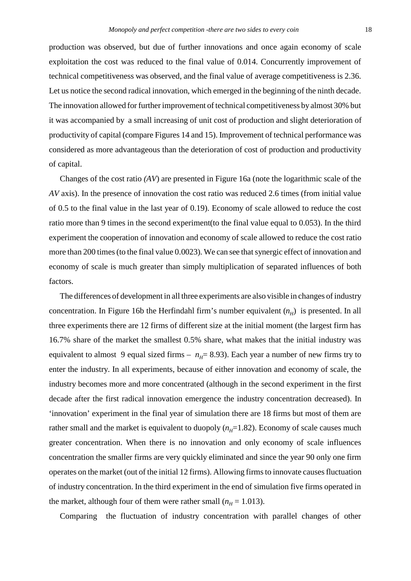production was observed, but due of further innovations and once again economy of scale exploitation the cost was reduced to the final value of 0.014. Concurrently improvement of technical competitiveness was observed, and the final value of average competitiveness is 2.36. Let us notice the second radical innovation, which emerged in the beginning of the ninth decade. The innovation allowed for further improvement of technical competitiveness by almost 30% but it was accompanied by a small increasing of unit cost of production and slight deterioration of productivity of capital (compare Figures 14 and 15). Improvement of technical performance was considered as more advantageous than the deterioration of cost of production and productivity of capital.

Changes of the cost ratio *(AV*) are presented in Figure 16a (note the logarithmic scale of the *AV* axis). In the presence of innovation the cost ratio was reduced 2.6 times (from initial value of 0.5 to the final value in the last year of 0.19). Economy of scale allowed to reduce the cost ratio more than 9 times in the second experiment(to the final value equal to 0.053). In the third experiment the cooperation of innovation and economy of scale allowed to reduce the cost ratio more than 200 times (to the final value 0.0023). We can see that synergic effect of innovation and economy of scale is much greater than simply multiplication of separated influences of both factors.

The differences of development in all three experiments are also visible in changes of industry concentration. In Figure 16b the Herfindahl firm's number equivalent  $(n_H)$  is presented. In all three experiments there are 12 firms of different size at the initial moment (the largest firm has 16.7% share of the market the smallest 0.5% share, what makes that the initial industry was equivalent to almost 9 equal sized firms –  $n_H$ = 8.93). Each year a number of new firms try to enter the industry. In all experiments, because of either innovation and economy of scale, the industry becomes more and more concentrated (although in the second experiment in the first decade after the first radical innovation emergence the industry concentration decreased). In 'innovation' experiment in the final year of simulation there are 18 firms but most of them are rather small and the market is equivalent to duopoly  $(n<sub>H</sub>=1.82)$ . Economy of scale causes much greater concentration. When there is no innovation and only economy of scale influences concentration the smaller firms are very quickly eliminated and since the year 90 only one firm operates on the market (out of the initial 12 firms). Allowing firms to innovate causes fluctuation of industry concentration. In the third experiment in the end of simulation five firms operated in the market, although four of them were rather small ( $n_H$  = 1.013).

Comparing the fluctuation of industry concentration with parallel changes of other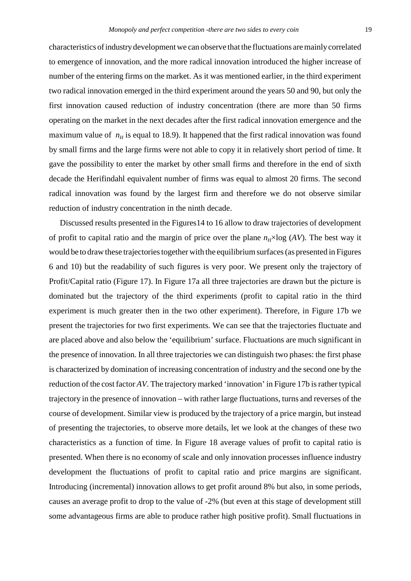characteristics of industry development we can observe that the fluctuations are mainly correlated to emergence of innovation, and the more radical innovation introduced the higher increase of number of the entering firms on the market. As it was mentioned earlier, in the third experiment two radical innovation emerged in the third experiment around the years 50 and 90, but only the first innovation caused reduction of industry concentration (there are more than 50 firms operating on the market in the next decades after the first radical innovation emergence and the maximum value of  $n_H$  is equal to 18.9). It happened that the first radical innovation was found by small firms and the large firms were not able to copy it in relatively short period of time. It gave the possibility to enter the market by other small firms and therefore in the end of sixth decade the Herifindahl equivalent number of firms was equal to almost 20 firms. The second radical innovation was found by the largest firm and therefore we do not observe similar reduction of industry concentration in the ninth decade.

Discussed results presented in the Figures14 to 16 allow to draw trajectories of development of profit to capital ratio and the margin of price over the plane  $n_H \times \log (AV)$ . The best way it would be to draw these trajectories together with the equilibrium surfaces (as presented in Figures 6 and 10) but the readability of such figures is very poor. We present only the trajectory of Profit/Capital ratio (Figure 17). In Figure 17a all three trajectories are drawn but the picture is dominated but the trajectory of the third experiments (profit to capital ratio in the third experiment is much greater then in the two other experiment). Therefore, in Figure 17b we present the trajectories for two first experiments. We can see that the trajectories fluctuate and are placed above and also below the 'equilibrium' surface. Fluctuations are much significant in the presence of innovation. In all three trajectories we can distinguish two phases: the first phase is characterized by domination of increasing concentration of industry and the second one by the reduction of the cost factor *AV*. The trajectory marked 'innovation' in Figure 17b is rather typical trajectory in the presence of innovation – with rather large fluctuations, turns and reverses of the course of development. Similar view is produced by the trajectory of a price margin, but instead of presenting the trajectories, to observe more details, let we look at the changes of these two characteristics as a function of time. In Figure 18 average values of profit to capital ratio is presented. When there is no economy of scale and only innovation processes influence industry development the fluctuations of profit to capital ratio and price margins are significant. Introducing (incremental) innovation allows to get profit around 8% but also, in some periods, causes an average profit to drop to the value of -2% (but even at this stage of development still some advantageous firms are able to produce rather high positive profit). Small fluctuations in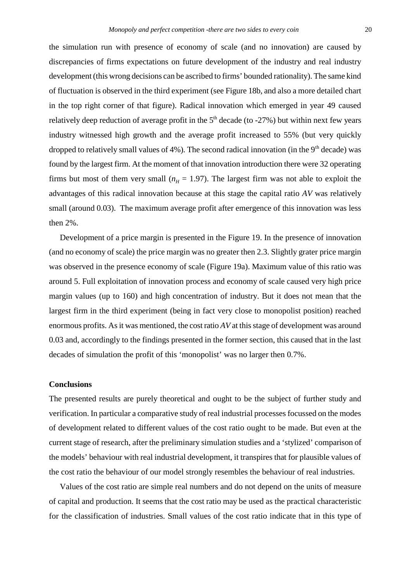the simulation run with presence of economy of scale (and no innovation) are caused by discrepancies of firms expectations on future development of the industry and real industry development (this wrong decisions can be ascribed to firms' bounded rationality). The same kind of fluctuation is observed in the third experiment (see Figure 18b, and also a more detailed chart in the top right corner of that figure). Radical innovation which emerged in year 49 caused relatively deep reduction of average profit in the  $5<sup>th</sup>$  decade (to -27%) but within next few years industry witnessed high growth and the average profit increased to 55% (but very quickly dropped to relatively small values of  $4\%$ ). The second radical innovation (in the  $9<sup>th</sup>$  decade) was found by the largest firm. At the moment of that innovation introduction there were 32 operating firms but most of them very small ( $n_H$  = 1.97). The largest firm was not able to exploit the advantages of this radical innovation because at this stage the capital ratio *AV* was relatively small (around 0.03). The maximum average profit after emergence of this innovation was less then 2%.

Development of a price margin is presented in the Figure 19. In the presence of innovation (and no economy of scale) the price margin was no greater then 2.3. Slightly grater price margin was observed in the presence economy of scale (Figure 19a). Maximum value of this ratio was around 5. Full exploitation of innovation process and economy of scale caused very high price margin values (up to 160) and high concentration of industry. But it does not mean that the largest firm in the third experiment (being in fact very close to monopolist position) reached enormous profits. As it was mentioned, the cost ratio *AV* at this stage of development was around 0.03 and, accordingly to the findings presented in the former section, this caused that in the last decades of simulation the profit of this 'monopolist' was no larger then 0.7%.

#### **Conclusions**

The presented results are purely theoretical and ought to be the subject of further study and verification. In particular a comparative study of real industrial processes focussed on the modes of development related to different values of the cost ratio ought to be made. But even at the current stage of research, after the preliminary simulation studies and a 'stylized' comparison of the models' behaviour with real industrial development, it transpires that for plausible values of the cost ratio the behaviour of our model strongly resembles the behaviour of real industries.

Values of the cost ratio are simple real numbers and do not depend on the units of measure of capital and production. It seems that the cost ratio may be used as the practical characteristic for the classification of industries. Small values of the cost ratio indicate that in this type of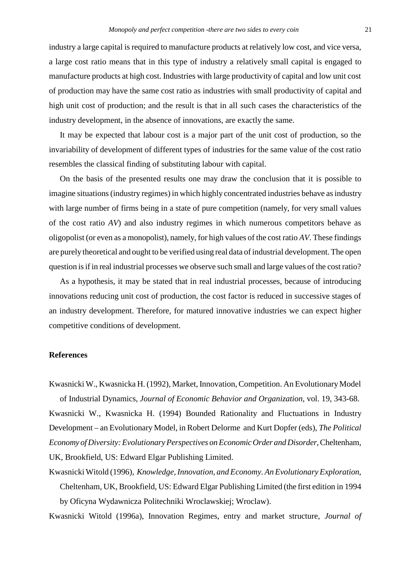industry a large capital is required to manufacture products at relatively low cost, and vice versa, a large cost ratio means that in this type of industry a relatively small capital is engaged to manufacture products at high cost. Industries with large productivity of capital and low unit cost of production may have the same cost ratio as industries with small productivity of capital and high unit cost of production; and the result is that in all such cases the characteristics of the industry development, in the absence of innovations, are exactly the same.

It may be expected that labour cost is a major part of the unit cost of production, so the invariability of development of different types of industries for the same value of the cost ratio resembles the classical finding of substituting labour with capital.

On the basis of the presented results one may draw the conclusion that it is possible to imagine situations (industry regimes) in which highly concentrated industries behave as industry with large number of firms being in a state of pure competition (namely, for very small values of the cost ratio *AV*) and also industry regimes in which numerous competitors behave as oligopolist (or even as a monopolist), namely, for high values of the cost ratio *AV*. These findings are purely theoretical and ought to be verified using real data of industrial development. The open question is if in real industrial processes we observe such small and large values of the cost ratio?

As a hypothesis, it may be stated that in real industrial processes, because of introducing innovations reducing unit cost of production, the cost factor is reduced in successive stages of an industry development. Therefore, for matured innovative industries we can expect higher competitive conditions of development.

# **References**

Kwasnicki W., Kwasnicka H. (1992), Market, Innovation, Competition. An Evolutionary Model of Industrial Dynamics, *Journal of Economic Behavior and Organization*, vol. 19, 343-68. Kwasnicki W., Kwasnicka H. (1994) Bounded Rationality and Fluctuations in Industry Development – an Evolutionary Model, in Robert Delorme and Kurt Dopfer (eds), *The Political Economy of Diversity: Evolutionary Perspectives on Economic Order and Disorder*, Cheltenham, UK, Brookfield, US: Edward Elgar Publishing Limited.

Kwasnicki Witold (1996), *Knowledge, Innovation, and Economy. An Evolutionary Exploration*, Cheltenham, UK, Brookfield, US: Edward Elgar Publishing Limited (the first edition in 1994 by Oficyna Wydawnicza Politechniki Wroclawskiej; Wroclaw).

Kwasnicki Witold (1996a), Innovation Regimes, entry and market structure, *Journal of*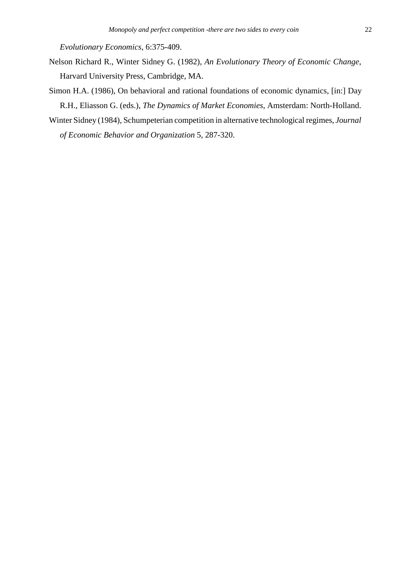*Evolutionary Economics*, 6:375-409.

- Nelson Richard R., Winter Sidney G. (1982), *An Evolutionary Theory of Economic Change*, Harvard University Press, Cambridge, MA.
- Simon H.A. (1986), On behavioral and rational foundations of economic dynamics, [in:] Day R.H., Eliasson G. (eds.), *The Dynamics of Market Economies*, Amsterdam: North-Holland.
- Winter Sidney (1984), Schumpeterian competition in alternative technological regimes, *Journal of Economic Behavior and Organization* 5, 287-320.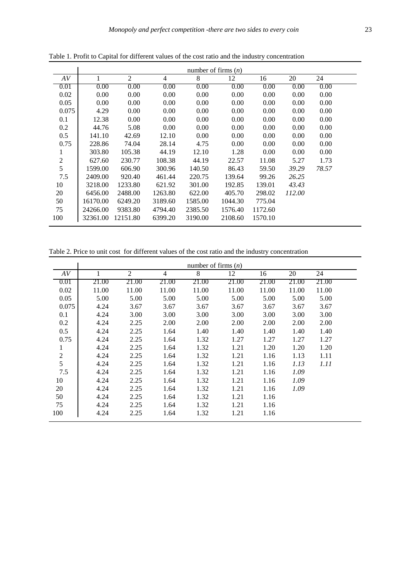|                | number of firms $(n)$ |                |                |         |         |         |        |       |  |
|----------------|-----------------------|----------------|----------------|---------|---------|---------|--------|-------|--|
| AV             |                       | $\overline{2}$ | $\overline{4}$ | 8       | 12      | 16      | 20     | 24    |  |
| 0.01           | 0.00                  | 0.00           | 0.00           | 0.00    | 0.00    | 0.00    | 0.00   | 0.00  |  |
| 0.02           | 0.00                  | 0.00           | 0.00           | 0.00    | 0.00    | 0.00    | 0.00   | 0.00  |  |
| 0.05           | 0.00                  | 0.00           | 0.00           | 0.00    | 0.00    | 0.00    | 0.00   | 0.00  |  |
| 0.075          | 4.29                  | 0.00           | 0.00           | 0.00    | 0.00    | 0.00    | 0.00   | 0.00  |  |
| 0.1            | 12.38                 | 0.00           | 0.00           | 0.00    | 0.00    | 0.00    | 0.00   | 0.00  |  |
| 0.2            | 44.76                 | 5.08           | 0.00           | 0.00    | 0.00    | 0.00    | 0.00   | 0.00  |  |
| 0.5            | 141.10                | 42.69          | 12.10          | 0.00    | 0.00    | 0.00    | 0.00   | 0.00  |  |
| 0.75           | 228.86                | 74.04          | 28.14          | 4.75    | 0.00    | 0.00    | 0.00   | 0.00  |  |
| 1              | 303.80                | 105.38         | 44.19          | 12.10   | 1.28    | 0.00    | 0.00   | 0.00  |  |
| $\overline{2}$ | 627.60                | 230.77         | 108.38         | 44.19   | 22.57   | 11.08   | 5.27   | 1.73  |  |
| 5              | 1599.00               | 606.90         | 300.96         | 140.50  | 86.43   | 59.50   | 39.29  | 78.57 |  |
| 7.5            | 2409.00               | 920.40         | 461.44         | 220.75  | 139.64  | 99.26   | 26.25  |       |  |
| 10             | 3218.00               | 1233.80        | 621.92         | 301.00  | 192.85  | 139.01  | 43.43  |       |  |
| 20             | 6456.00               | 2488.00        | 1263.80        | 622.00  | 405.70  | 298.02  | 112.00 |       |  |
| 50             | 16170.00              | 6249.20        | 3189.60        | 1585.00 | 1044.30 | 775.04  |        |       |  |
| 75             | 24266.00              | 9383.80        | 4794.40        | 2385.50 | 1576.40 | 1172.60 |        |       |  |
| 100            | 32361.00              | 12151.80       | 6399.20        | 3190.00 | 2108.60 | 1570.10 |        |       |  |

Table 1. Profit to Capital for different values of the cost ratio and the industry concentration

Table 2. Price to unit cost for different values of the cost ratio and the industry concentration

|              | number of firms $(n)$ |       |       |       |       |       |       |       |  |  |
|--------------|-----------------------|-------|-------|-------|-------|-------|-------|-------|--|--|
| AV           | 1                     | 2     | 4     | 8     | 12    | 16    | 20    | 24    |  |  |
| 0.01         | 21.00                 | 21.00 | 21.00 | 21.00 | 21.00 | 21.00 | 21.00 | 21.00 |  |  |
| 0.02         | 11.00                 | 11.00 | 11.00 | 11.00 | 11.00 | 11.00 | 11.00 | 11.00 |  |  |
| 0.05         | 5.00                  | 5.00  | 5.00  | 5.00  | 5.00  | 5.00  | 5.00  | 5.00  |  |  |
| 0.075        | 4.24                  | 3.67  | 3.67  | 3.67  | 3.67  | 3.67  | 3.67  | 3.67  |  |  |
| 0.1          | 4.24                  | 3.00  | 3.00  | 3.00  | 3.00  | 3.00  | 3.00  | 3.00  |  |  |
| 0.2          | 4.24                  | 2.25  | 2.00  | 2.00  | 2.00  | 2.00  | 2.00  | 2.00  |  |  |
| 0.5          | 4.24                  | 2.25  | 1.64  | 1.40  | 1.40  | 1.40  | 1.40  | 1.40  |  |  |
| 0.75         | 4.24                  | 2.25  | 1.64  | 1.32  | 1.27  | 1.27  | 1.27  | 1.27  |  |  |
| $\mathbf{1}$ | 4.24                  | 2.25  | 1.64  | 1.32  | 1.21  | 1.20  | 1.20  | 1.20  |  |  |
| $\sqrt{2}$   | 4.24                  | 2.25  | 1.64  | 1.32  | 1.21  | 1.16  | 1.13  | 1.11  |  |  |
| 5            | 4.24                  | 2.25  | 1.64  | 1.32  | 1.21  | 1.16  | 1.13  | 1.11  |  |  |
| 7.5          | 4.24                  | 2.25  | 1.64  | 1.32  | 1.21  | 1.16  | 1.09  |       |  |  |
| 10           | 4.24                  | 2.25  | 1.64  | 1.32  | 1.21  | 1.16  | 1.09  |       |  |  |
| 20           | 4.24                  | 2.25  | 1.64  | 1.32  | 1.21  | 1.16  | 1.09  |       |  |  |
| 50           | 4.24                  | 2.25  | 1.64  | 1.32  | 1.21  | 1.16  |       |       |  |  |
| 75           | 4.24                  | 2.25  | 1.64  | 1.32  | 1.21  | 1.16  |       |       |  |  |
| 100          | 4.24                  | 2.25  | 1.64  | 1.32  | 1.21  | 1.16  |       |       |  |  |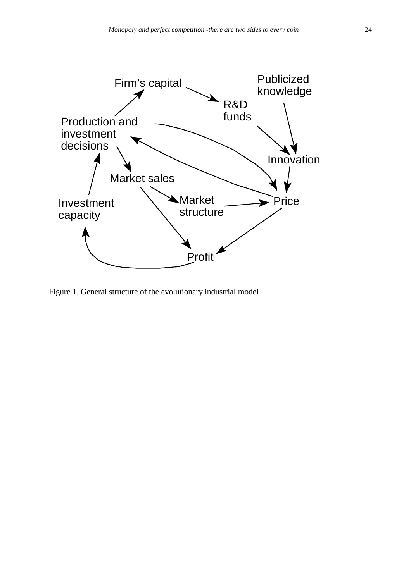

Figure 1. General structure of the evolutionary industrial model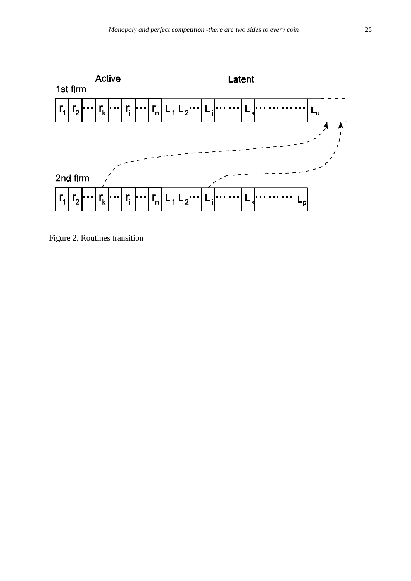

Figure 2. Routines transition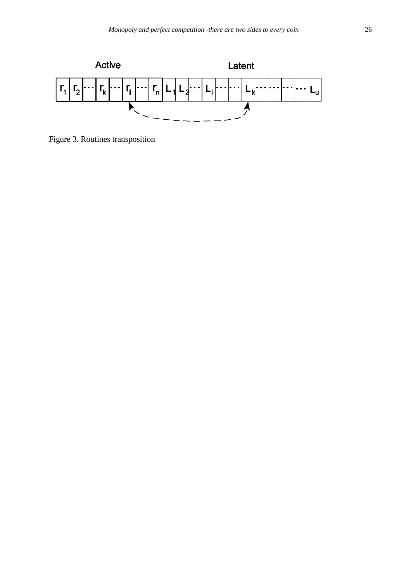

Figure 3. Routines transposition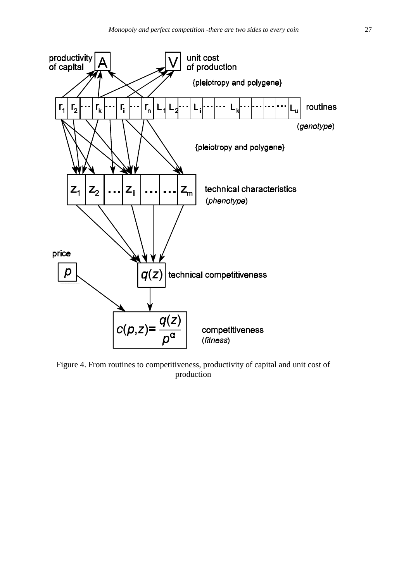

Figure 4. From routines to competitiveness, productivity of capital and unit cost of production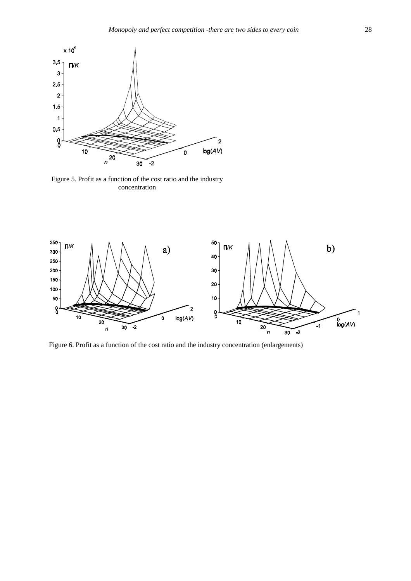

Figure 5. Profit as a function of the cost ratio and the industry concentration



Figure 6. Profit as a function of the cost ratio and the industry concentration (enlargements)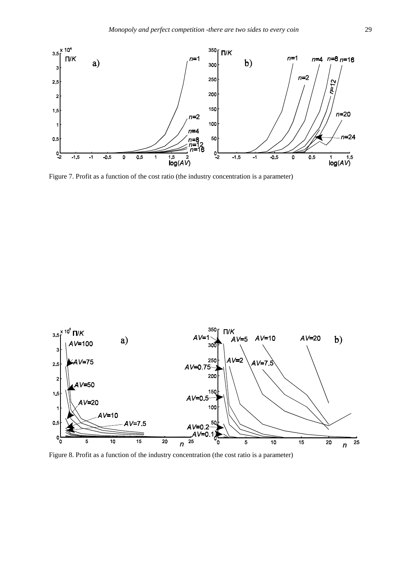

Figure 7. Profit as a function of the cost ratio (the industry concentration is a parameter)



Figure 8. Profit as a function of the industry concentration (the cost ratio is a parameter)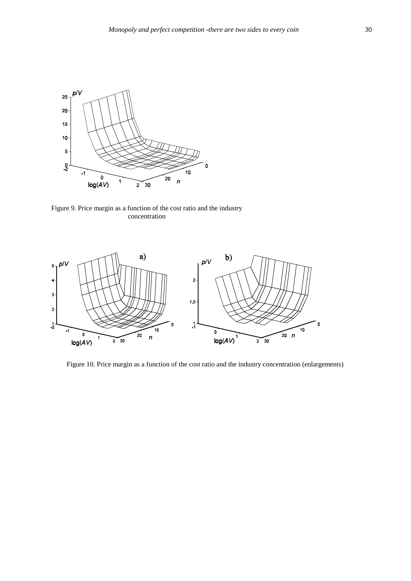

Figure 9. Price margin as a function of the cost ratio and the industry concentration



Figure 10. Price margin as a function of the cost ratio and the industry concentration (enlargements)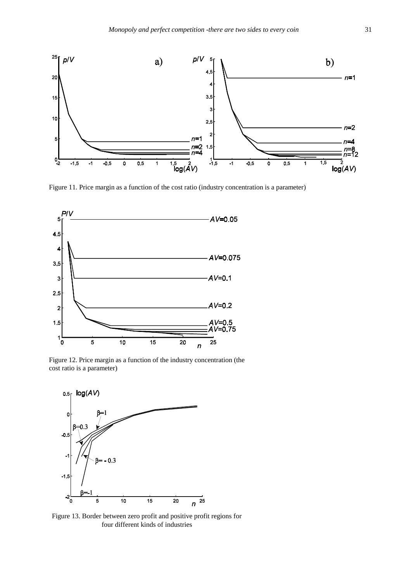

Figure 11. Price margin as a function of the cost ratio (industry concentration is a parameter)



Figure 12. Price margin as a function of the industry concentration (the cost ratio is a parameter)



Figure 13. Border between zero profit and positive profit regions for four different kinds of industries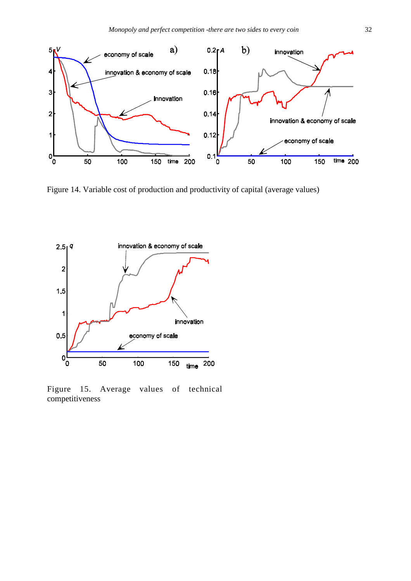

Figure 14. Variable cost of production and productivity of capital (average values)



Figure 15. Average values of technical competitiveness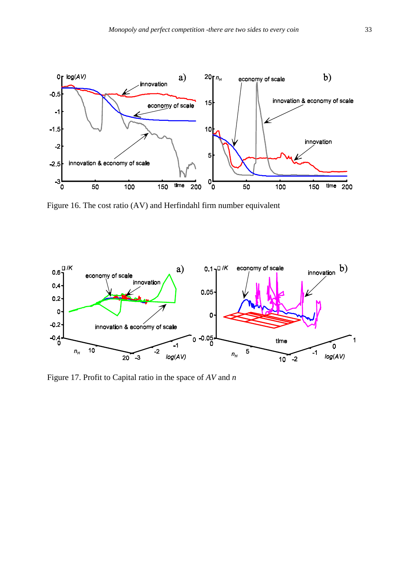

Figure 16. The cost ratio (AV) and Herfindahl firm number equivalent



Figure 17. Profit to Capital ratio in the space of *AV* and *n*